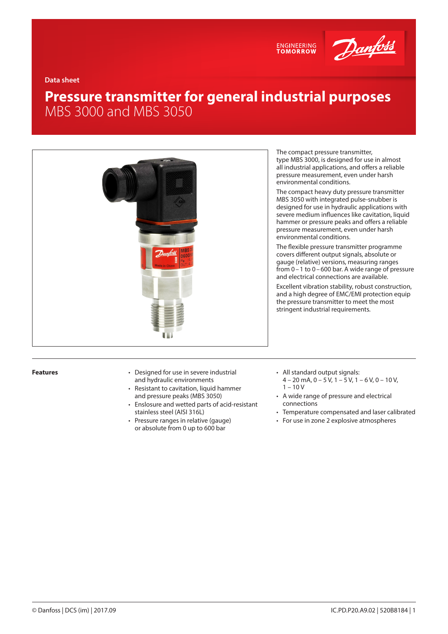



**Data sheet**

# **Pressure transmitter for general industrial purposes** MBS 3000 and MBS 3050



- **Features** Designed for use in severe industrial and hydraulic environments
	- Resistant to cavitation, liquid hammer and pressure peaks (MBS 3050)
	- Enslosure and wetted parts of acid-resistant stainless steel (AISI 316L)
	- Pressure ranges in relative (gauge) or absolute from 0 up to 600 bar

The compact pressure transmitter, type MBS 3000, is designed for use in almost all industrial applications, and offers a reliable pressure measurement, even under harsh environmental conditions.

The compact heavy duty pressure transmitter MBS 3050 with integrated pulse-snubber is designed for use in hydraulic applications with severe medium influences like cavitation, liquid hammer or pressure peaks and offers a reliable pressure measurement, even under harsh environmental conditions.

The flexible pressure transmitter programme covers different output signals, absolute or gauge (relative) versions, measuring ranges from  $0 - 1$  to  $0 - 600$  bar. A wide range of pressure and electrical connections are available.

Excellent vibration stability, robust construction, and a high degree of EMC/EMI protection equip the pressure transmitter to meet the most stringent industrial requirements.

- All standard output signals:  $4 - 20$  mA,  $0 - 5$  V,  $1 - 5$  V,  $1 - 6$  V,  $0 - 10$  V,  $1 - 10V$
- A wide range of pressure and electrical connections
- Temperature compensated and laser calibrated
- For use in zone 2 explosive atmospheres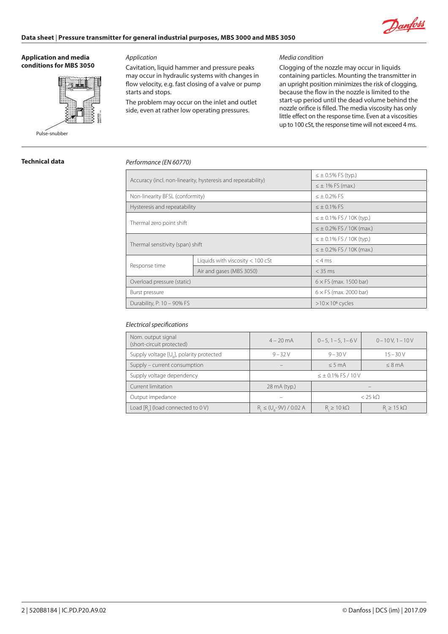

#### **Application and media conditions for MBS 3050**



# *Application*

Cavitation, liquid hammer and pressure peaks may occur in hydraulic systems with changes in flow velocity, e.g. fast closing of a valve or pump starts and stops.

The problem may occur on the inlet and outlet side, even at rather low operating pressures.

## *Media condition*

Clogging of the nozzle may occur in liquids containing particles. Mounting the transmitter in an upright position minimizes the risk of clogging, because the flow in the nozzle is limited to the start-up period until the dead volume behind the nozzle orifice is filled. The media viscosity has only little effect on the response time. Even at a viscosities up to 100 cSt, the response time will not exceed 4 ms.

# **Technical data**

## *Performance (EN 60770)*

| Accuracy (incl. non-linearity, hysteresis and repeatability) |                                    | $\leq \pm 0.5\%$ FS (typ.)       |  |
|--------------------------------------------------------------|------------------------------------|----------------------------------|--|
|                                                              |                                    | $\leq \pm 1\%$ FS (max.)         |  |
| Non-linearity BFSL (conformity)                              |                                    | $< +0.2%$ FS                     |  |
| Hysteresis and repeatability                                 |                                    | $\leq \pm 0.1\%$ FS              |  |
| Thermal zero point shift                                     |                                    | $\leq \pm 0.1\%$ FS / 10K (typ.) |  |
|                                                              |                                    | $\leq \pm 0.2\%$ FS / 10K (max.) |  |
|                                                              |                                    | $\leq \pm 0.1\%$ FS / 10K (typ.) |  |
| Thermal sensitivity (span) shift                             |                                    | $\leq \pm 0.2\%$ FS / 10K (max.) |  |
|                                                              | Liquids with viscosity $< 100$ cSt | $<$ 4 ms                         |  |
| Response time                                                | Air and gases (MBS 3050)           | $<$ 35 ms                        |  |
| Overload pressure (static)                                   |                                    | $6 \times$ FS (max. 1500 bar)    |  |
| Burst pressure                                               |                                    | $6 \times$ FS (max. 2000 bar)    |  |
| Durability, P: 10 - 90% FS                                   |                                    | $>10 \times 10^6$ cycles         |  |

# *Electrical specifications*

| Nom. output signal<br>(short-circuit protected)      | $4 - 20$ mA                   | $0 - 5$ , 1 $- 5$ , 1 $- 6$ V                | $0 - 10V$ , $1 - 10V$ |  |
|------------------------------------------------------|-------------------------------|----------------------------------------------|-----------------------|--|
| Supply voltage [U <sub>2</sub> ], polarity protected | $9 - 32V$                     | $9 - 30V$<br>$15 - 30V$                      |                       |  |
| Supply – current consumption                         |                               | $< 5 \text{ mA}$<br>$< 8 \text{ mA}$         |                       |  |
| Supply voltage dependency                            | $\leq \pm 0.1\%$ FS / 10 V    |                                              |                       |  |
| Current limitation                                   | 28 mA (typ.)                  |                                              |                       |  |
| Output impedance                                     |                               | $<$ 25 kO                                    |                       |  |
| Load $[R_i]$ (load connected to $0 V$ )              | $R_i \le (U_o - 9V) / 0.02 A$ | $R \geq 10 k\Omega$<br>$R_i \geq 15 k\Omega$ |                       |  |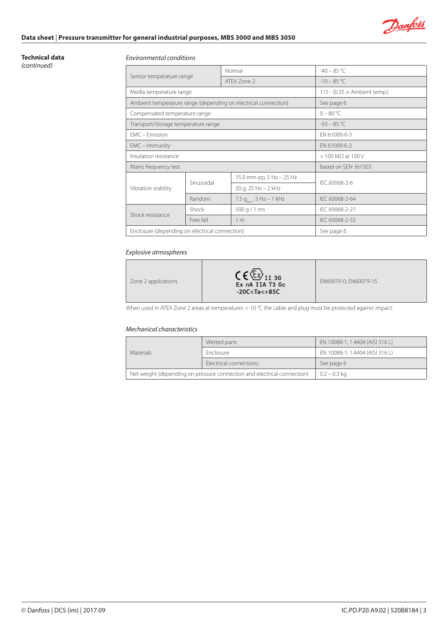

# **Data sheet** | **Pressure transmitter for general industrial purposes, MBS 3000 and MBS 3050**

#### **Technical data** *(continued)*

#### *Environmental conditions*

| Sensor temperature range                       |            | Normal                                                         | $-40 - 85$ °C                       |  |
|------------------------------------------------|------------|----------------------------------------------------------------|-------------------------------------|--|
|                                                |            | ATEX Zone 2                                                    | $-10 - 85$ °C                       |  |
| Media temperature range                        |            |                                                                | 115 - (0.35 $\times$ Ambient temp.) |  |
|                                                |            | Ambient temperature range (depending on electrical connection) | See page 6                          |  |
| Compensated temperature range                  |            |                                                                | $0 - 80 °C$                         |  |
| Transport/storage temperature range            |            |                                                                | $-50 - 85$ °C                       |  |
| EMC - Emission                                 |            |                                                                | EN 61000-6-3                        |  |
| $EMC - Immunity$                               |            | EN 61000-6-2                                                   |                                     |  |
| Insulation resistance                          |            | $> 100$ M $\Omega$ at 100 V                                    |                                     |  |
| Mains frequency test                           |            | Based on SEN 361503                                            |                                     |  |
|                                                | Sinusoidal | 15.9 mm-pp, 5 Hz - 25 Hz                                       | IFC 60068-2-6                       |  |
| Vibration stability                            |            | 20 g, 25 Hz - 2 kHz                                            |                                     |  |
|                                                | Random     | 7.5 $g_{rms}$ , 5 Hz – 1 kHz                                   | IEC 60068-2-64                      |  |
| Shock resistance                               | Shock      | 500 g / 1 ms                                                   | IEC 60068-2-27                      |  |
|                                                | Free fall  | 1 <sub>m</sub>                                                 | IEC 60068-2-32                      |  |
| Enclosure (depending on electrical connection) |            |                                                                | See page 6                          |  |

# *Explosive atmospheres*

| Zone 2 applications | $C \in \langle \Sigma_x \rangle$ <sub>1136</sub><br>Ex nA IIA T3 Gc<br>$-20C<$ Ta $<$ +85C | EN60079-0; EN60079-15 |
|---------------------|--------------------------------------------------------------------------------------------|-----------------------|
|---------------------|--------------------------------------------------------------------------------------------|-----------------------|

When used in ATEX Zone 2 areas at temperatures <-10 °C the cable and plug must be protected against impact.

## *Mechanical characteristics*

| <b>Materials</b> | Wetted parts                                                            | EN 10088-1; 1.4404 (AISI 316 L) |  |
|------------------|-------------------------------------------------------------------------|---------------------------------|--|
|                  | <b>Enclosure</b>                                                        | EN 10088-1; 1.4404 (AISI 316 L) |  |
|                  | Electrical connections                                                  | See page 6                      |  |
|                  | Net weight (depending on pressure connection and electrical connection) | $0.2 - 0.3$ kg                  |  |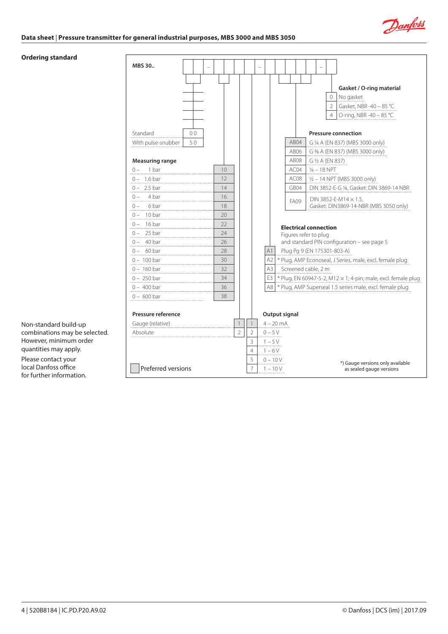

## **Data sheet** | **Pressure transmitter for general industrial purposes, MBS 3000 and MBS 3050**

## **Ordering standard**

| MBS 30                 |                |                                                                                       |
|------------------------|----------------|---------------------------------------------------------------------------------------|
|                        |                |                                                                                       |
|                        |                | Gasket / O-ring material                                                              |
|                        |                | No gasket<br>0                                                                        |
|                        |                | $\overline{2}$<br>Gasket, NBR -40 - 85 °C                                             |
|                        |                | $\overline{4}$<br>O-ring, NBR -40 - 85 °C                                             |
| 0 <sub>0</sub>         |                |                                                                                       |
| Standard<br>50         |                | <b>Pressure connection</b><br>AB04                                                    |
| With pulse-snubber     |                | G ¼ A (EN 837) (MBS 3000 only)<br>AB06                                                |
| <b>Measuring range</b> |                | G 3/8 A (EN 837) (MBS 3000 only)<br>AB08                                              |
| 1 bar<br>$() -$        | 10             | G ½ A (EN 837)<br>AC04<br>1⁄4 – 18 NPT                                                |
| $0 - 1.6$ bar          | 12             | AC <sub>08</sub><br>$1/2 - 14$ NPT (MBS 3000 only)                                    |
| $0 - 2.5 \text{ bar}$  | 14             | GB04<br>DIN 3852-E-G ¼, Gasket: DIN 3869-14 NBR                                       |
| $0 - 4 bar$            | 16             |                                                                                       |
| $0 - 6 \text{ bar}$    | 18             | DIN 3852-E-M14 $\times$ 1.5,<br><b>FA09</b><br>Gasket: DIN3869-14-NBR (MBS 3050 only) |
| $0 - 10 \text{ bar}$   | 20             |                                                                                       |
| $0 - 16$ bar<br>.      | 22             | <b>Electrical connection</b>                                                          |
| $0 - 25$ bar           | 24             | Figures refer to plug                                                                 |
| $0 - 40 \text{ bar}$   | 26             | and standard PIN configuration - see page 5                                           |
| $0 - 60 \text{ bar}$   | 28             | A1<br>Plug Pg 9 (EN 175301-803-A)                                                     |
| $0 - 100$ bar          | 30             | A2<br>* Plug, AMP Econoseal, J Series, male, excl. female plug                        |
| $0 - 160$ bar          | 32             | A3<br>Screened cable, 2 m                                                             |
| $0 - 250$ bar          | 34             | E3<br>$*$ Plug, EN 60947-5-2, M12 $\times$ 1; 4-pin; male, excl. female plug          |
| $0 - 400$ bar          | 36             | A8   * Plug, AMP Superseal 1.5 series male, excl. female plug                         |
| $0 - 600$ bar          | 38             |                                                                                       |
|                        |                |                                                                                       |
| Pressure reference     |                | Output signal                                                                         |
| Gauge (relative)       | $\mathbf{1}$   | $4 - 20$ mA                                                                           |
| Absolute               | $\overline{2}$ | $\overline{2}$<br>$0 - 5V$<br>3                                                       |
|                        |                | $1 - 5V$<br>4<br>$1 - 6V$                                                             |
|                        |                | 5<br>$0 - 10V$                                                                        |
| Preferred versions     |                | *) Gauge versions only available<br>7<br>$1 - 10V$<br>as sealed gauge versions        |

Non-standard build-up combinations may be selected. However, minimum order quantities may apply. Please contact your local Danfoss office for further information.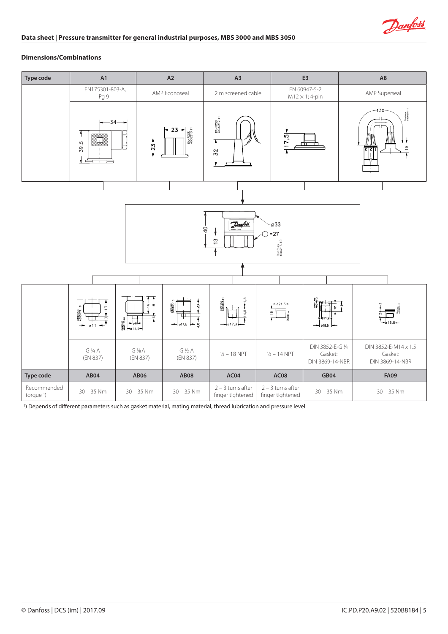

## **Dimensions/Combinations**

| <b>Type code</b>                     | A1                                                        |                                | A2                              | A <sub>3</sub>                                |                                         | E <sub>3</sub>                                 | A <sub>8</sub>                                               |  |  |  |
|--------------------------------------|-----------------------------------------------------------|--------------------------------|---------------------------------|-----------------------------------------------|-----------------------------------------|------------------------------------------------|--------------------------------------------------------------|--|--|--|
|                                      | EN175301-803-A,<br>Pg 9                                   |                                | AMP Econoseal                   | 2 m screened cable                            |                                         | EN 60947-5-2<br>$M12 \times 1$ ; 4-pin         | AMP Superseal                                                |  |  |  |
|                                      | $-34-$<br>█<br>39.5                                       | $-23+$                         | $+23+$<br>DANFOSS<br>A606218 11 | DANFOSS<br>A60G217.11<br>7<br>$\overline{52}$ | 17.5                                    | гπ                                             | Danfaan<br>1800278.11<br>$-130-$<br>$\frac{10}{2}$<br>हाद्या |  |  |  |
|                                      |                                                           |                                |                                 |                                               |                                         |                                                |                                                              |  |  |  |
|                                      |                                                           |                                |                                 |                                               |                                         |                                                |                                                              |  |  |  |
|                                      | Danfall<br>$\varnothing$ 33                               |                                |                                 |                                               |                                         |                                                |                                                              |  |  |  |
|                                      | $\overline{Q}$<br>$=27$<br>$\mathfrak{S}$                 |                                |                                 |                                               |                                         |                                                |                                                              |  |  |  |
|                                      |                                                           |                                | Danfoss<br>606213.10            |                                               |                                         |                                                |                                                              |  |  |  |
|                                      |                                                           |                                |                                 |                                               |                                         |                                                |                                                              |  |  |  |
|                                      |                                                           |                                |                                 |                                               |                                         |                                                |                                                              |  |  |  |
|                                      | خ<br>۲                                                    | $\frac{8}{1}$                  | Donfoss<br>60G163.13            | DANFOSS<br>ABOGICA                            | 021.3                                   |                                                |                                                              |  |  |  |
|                                      | DANFOSS<br>A606171.10<br>$\frac{1}{\sqrt{2}}$<br>011<br>— | $\frac{1}{2}$<br>$\frac{1}{2}$ | ヰ<br>$\frac{1}{\sqrt{17.5}}$    | $+2+$<br>$\rightarrow$ 017,3                  |                                         | ø18,8                                          | T                                                            |  |  |  |
|                                      | G ¼ A<br>(EN 837)                                         | $G\frac{3}{8}A$<br>(EN 837)    | $G\frac{1}{2}A$<br>(EN 837)     | $1/4 - 18$ NPT                                | $1/2 - 14$ NPT                          | DIN 3852-E-G 1/4<br>Gasket:<br>DIN 3869-14-NBR | DIN 3852-E-M14 x 1.5<br>Gasket:<br>DIN 3869-14-NBR           |  |  |  |
| Type code                            | AB04                                                      | <b>AB06</b>                    | <b>AB08</b>                     | AC04                                          | <b>AC08</b>                             | <b>GB04</b>                                    | <b>FA09</b>                                                  |  |  |  |
| Recommended<br>torque <sup>1</sup> ) | $30 - 35$ Nm                                              | $30 - 35$ Nm                   | $30 - 35$ Nm                    | $2 - 3$ turns after<br>finger tightened       | $2 - 3$ turns after<br>finger tightened | $30 - 35$ Nm                                   | $30 - 35$ Nm                                                 |  |  |  |

1 ) Depends of different parameters such as gasket material, mating material, thread lubrication and pressure level